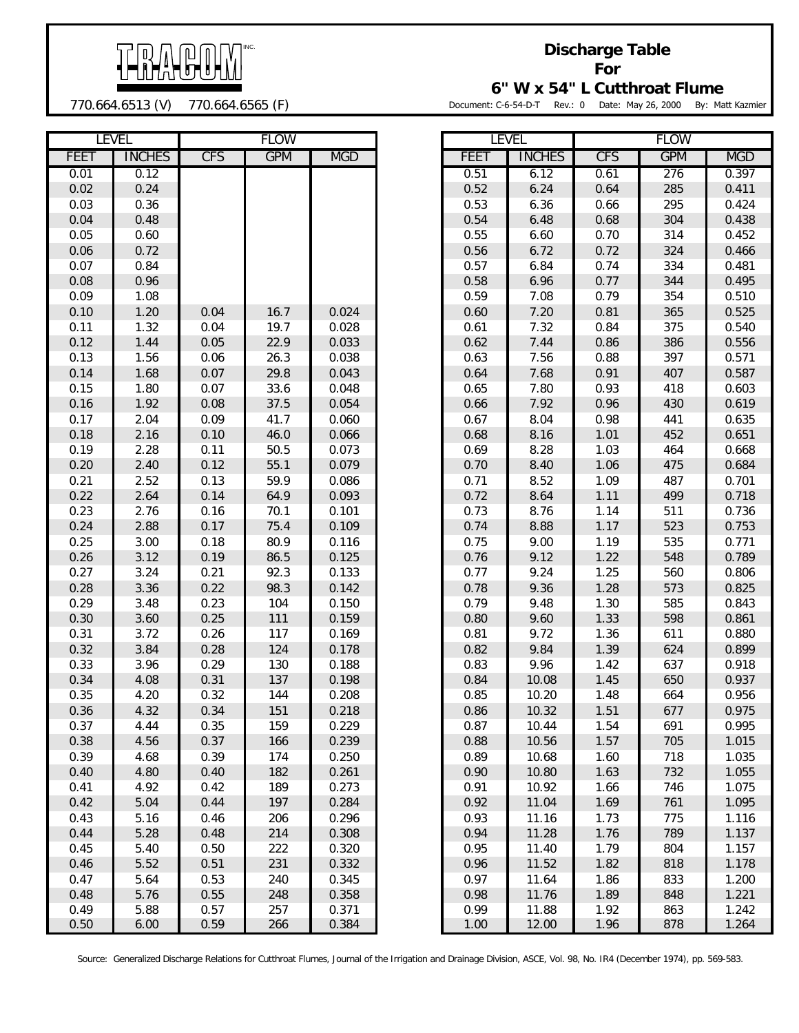

770.664.6513 (V) 770.664.6565 (F)

**Discharge Table For**

**6" W x 54" L Cutthroat Flume**

Document: C-6-54-D-T Rev.: 0 Date: May 26, 2000 By: Matt Kazmier

|             | <b>LEVEL</b>  |            | <b>FLOW</b> |            |             | <b>LEVEL</b>  |            | <b>FLOW</b> |            |
|-------------|---------------|------------|-------------|------------|-------------|---------------|------------|-------------|------------|
| <b>FEET</b> | <b>INCHES</b> | <b>CFS</b> | <b>GPM</b>  | <b>MGD</b> | <b>FEET</b> | <b>INCHES</b> | <b>CFS</b> | <b>GPM</b>  | <b>MGD</b> |
| 0.01        | 0.12          |            |             |            | 0.51        | 6.12          | 0.61       | 276         | 0.397      |
| 0.02        | 0.24          |            |             |            | 0.52        | 6.24          | 0.64       | 285         | 0.411      |
| 0.03        | 0.36          |            |             |            | 0.53        | 6.36          | 0.66       | 295         | 0.424      |
| 0.04        | 0.48          |            |             |            | 0.54        | 6.48          | 0.68       | 304         | 0.438      |
| 0.05        | 0.60          |            |             |            | 0.55        | 6.60          | 0.70       | 314         | 0.452      |
| 0.06        | 0.72          |            |             |            | 0.56        | 6.72          | 0.72       | 324         | 0.466      |
| 0.07        | 0.84          |            |             |            | 0.57        | 6.84          | 0.74       | 334         | 0.481      |
| 0.08        | 0.96          |            |             |            | 0.58        | 6.96          | 0.77       | 344         | 0.495      |
| 0.09        | 1.08          |            |             |            | 0.59        | 7.08          | 0.79       | 354         | 0.510      |
| 0.10        | 1.20          | 0.04       | 16.7        | 0.024      | 0.60        | 7.20          | 0.81       | 365         | 0.525      |
| 0.11        | 1.32          | 0.04       | 19.7        | 0.028      | 0.61        | 7.32          | 0.84       | 375         | 0.540      |
| 0.12        | 1.44          | 0.05       | 22.9        | 0.033      | 0.62        | 7.44          | 0.86       | 386         | 0.556      |
| 0.13        | 1.56          | 0.06       | 26.3        | 0.038      | 0.63        | 7.56          | 0.88       | 397         | 0.571      |
| 0.14        | 1.68          | 0.07       | 29.8        | 0.043      | 0.64        | 7.68          | 0.91       | 407         | 0.587      |
| 0.15        | 1.80          | 0.07       | 33.6        | 0.048      | 0.65        | 7.80          | 0.93       | 418         | 0.603      |
| 0.16        | 1.92          | 0.08       | 37.5        | 0.054      | 0.66        | 7.92          | 0.96       | 430         | 0.619      |
| 0.17        | 2.04          | 0.09       | 41.7        | 0.060      | 0.67        | 8.04          | 0.98       | 441         | 0.635      |
| 0.18        | 2.16          | 0.10       | 46.0        | 0.066      | 0.68        | 8.16          | 1.01       | 452         | 0.651      |
| 0.19        | 2.28          | 0.11       | 50.5        | 0.073      | 0.69        | 8.28          | 1.03       | 464         | 0.668      |
| 0.20        | 2.40          | 0.12       | 55.1        | 0.079      | 0.70        | 8.40          | 1.06       | 475         | 0.684      |
| 0.21        | 2.52          | 0.13       | 59.9        | 0.086      | 0.71        | 8.52          | 1.09       | 487         | 0.701      |
| 0.22        | 2.64          | 0.14       | 64.9        | 0.093      | 0.72        | 8.64          | 1.11       | 499         | 0.718      |
| 0.23        | 2.76          | 0.16       | 70.1        | 0.101      | 0.73        | 8.76          | 1.14       | 511         | 0.736      |
| 0.24        | 2.88          | 0.17       | 75.4        | 0.109      | 0.74        | 8.88          | 1.17       | 523         | 0.753      |
| 0.25        | 3.00          | 0.18       | 80.9        | 0.116      | 0.75        | 9.00          | 1.19       | 535         | 0.771      |
| 0.26        | 3.12          | 0.19       | 86.5        | 0.125      | 0.76        | 9.12          | 1.22       | 548         | 0.789      |
| 0.27        | 3.24          | 0.21       | 92.3        | 0.133      | 0.77        | 9.24          | 1.25       | 560         | 0.806      |
| 0.28        | 3.36          | 0.22       | 98.3        | 0.142      | 0.78        | 9.36          | 1.28       | 573         | 0.825      |
| 0.29        | 3.48          | 0.23       | 104         | 0.150      | 0.79        | 9.48          | 1.30       | 585         | 0.843      |
| 0.30        | 3.60          | 0.25       | 111         | 0.159      | 0.80        | 9.60          | 1.33       | 598         | 0.861      |
| 0.31        | 3.72          | 0.26       | 117         | 0.169      | 0.81        | 9.72          | 1.36       | 611         | 0.880      |
| 0.32        | 3.84          | 0.28       | 124         | 0.178      | 0.82        | 9.84          | 1.39       | 624         | 0.899      |
| 0.33        | 3.96          | 0.29       | 130         | 0.188      | 0.83        | 9.96          | 1.42       | 637         | 0.918      |
| 0.34        | 4.08          | 0.31       | 137         | 0.198      | 0.84        | 10.08         | 1.45       | 650         | 0.937      |
| 0.35        | 4.20          | 0.32       | 144         | 0.208      | 0.85        | 10.20         | 1.48       | 664         | 0.956      |
| 0.36        | 4.32          | 0.34       | 151         | 0.218      | 0.86        | 10.32         | 1.51       | 677         | 0.975      |
| 0.37        | 4.44          | 0.35       | 159         | 0.229      | 0.87        | 10.44         | 1.54       | 691         | 0.995      |
| 0.38        | 4.56          | 0.37       | 166         | 0.239      | 0.88        | 10.56         | 1.57       | 705         | 1.015      |
| 0.39        | 4.68          | 0.39       | 174         | 0.250      | 0.89        | 10.68         | 1.60       | 718         | 1.035      |
| 0.40        | 4.80          | 0.40       | 182         | 0.261      | 0.90        | 10.80         | 1.63       | 732         | 1.055      |
| 0.41        | 4.92          | 0.42       | 189         | 0.273      | 0.91        | 10.92         | 1.66       | 746         | 1.075      |
| 0.42        | 5.04          | 0.44       | 197         | 0.284      | 0.92        | 11.04         | 1.69       | 761         | 1.095      |
| 0.43        | 5.16          | 0.46       | 206         | 0.296      | 0.93        | 11.16         | 1.73       | 775         | 1.116      |
| 0.44        | 5.28          | 0.48       | 214         | 0.308      | 0.94        | 11.28         | 1.76       | 789         | 1.137      |
| 0.45        | 5.40          | 0.50       | 222         | 0.320      | 0.95        | 11.40         | 1.79       | 804         | 1.157      |
| 0.46        | 5.52          | 0.51       | 231         | 0.332      | 0.96        | 11.52         | 1.82       | 818         | 1.178      |
| 0.47        | 5.64          | 0.53       | 240         | 0.345      | 0.97        | 11.64         | 1.86       | 833         | 1.200      |
| 0.48        | 5.76          | 0.55       | 248         | 0.358      | 0.98        | 11.76         | 1.89       | 848         | 1.221      |
| 0.49        | 5.88          | 0.57       | 257         | 0.371      | 0.99        | 11.88         | 1.92       | 863         | 1.242      |
| 0.50        | 6.00          | 0.59       | 266         | 0.384      | 1.00        | 12.00         | 1.96       | 878         | 1.264      |

|      | LEVEL         | FLOW       |            |            |  |  |
|------|---------------|------------|------------|------------|--|--|
| FEET | <b>INCHES</b> | <b>CFS</b> | <b>GPM</b> | <b>MGD</b> |  |  |
| 0.51 | 6.12          | 0.61       | 276        | 0.397      |  |  |
| 0.52 | 6.24          | 0.64       | 285        | 0.411      |  |  |
| 0.53 | 6.36          | 0.66       | 295        | 0.424      |  |  |
| 0.54 | 6.48          | 0.68       | 304        | 0.438      |  |  |
| 0.55 | 6.60          | 0.70       | 314        | 0.452      |  |  |
| 0.56 | 6.72          | 0.72       | 324        | 0.466      |  |  |
| 0.57 | 6.84          | 0.74       | 334        | 0.481      |  |  |
| 0.58 | 6.96          | 0.77       | 344        | 0.495      |  |  |
| 0.59 | 7.08          | 0.79       | 354        | 0.510      |  |  |
| 0.60 | 7.20          | 0.81       | 365        | 0.525      |  |  |
| 0.61 | 7.32          | 0.84       | 375        | 0.540      |  |  |
| 0.62 | 7.44          | 0.86       | 386        | 0.556      |  |  |
| 0.63 | 7.56          | 0.88       | 397        | 0.571      |  |  |
| 0.64 | 7.68          | 0.91       | 407        | 0.587      |  |  |
| 0.65 | 7.80          | 0.93       | 418        | 0.603      |  |  |
| 0.66 | 7.92          | 0.96       | 430        | 0.619      |  |  |
| 0.67 | 8.04          | 0.98       | 441        | 0.635      |  |  |
| 0.68 | 8.16          | 1.01       | 452        | 0.651      |  |  |
| 0.69 | 8.28          | 1.03       | 464        | 0.668      |  |  |
| 0.70 | 8.40          | 1.06       | 475        | 0.684      |  |  |
| 0.71 | 8.52          | 1.09       | 487        | 0.701      |  |  |
| 0.72 | 8.64          | 1.11       | 499        | 0.718      |  |  |
| 0.73 | 8.76          | 1.14       | 511        | 0.736      |  |  |
| 0.74 | 8.88          | 1.17       | 523        | 0.753      |  |  |
| 0.75 | 9.00          | 1.19       | 535        | 0.771      |  |  |
| 0.76 | 9.12          | 1.22       | 548        | 0.789      |  |  |
| 0.77 | 9.24          | 1.25       | 560        | 0.806      |  |  |
| 0.78 | 9.36          | 1.28       | 573        | 0.825      |  |  |
| 0.79 | 9.48          | 1.30       | 585        | 0.843      |  |  |
| 0.80 | 9.60          | 1.33       | 598        | 0.861      |  |  |
| 0.81 | 9.72          | 1.36       | 611        | 0.880      |  |  |
| 0.82 | 9.84          | 1.39       | 624        | 0.899      |  |  |
| 0.83 | 9.96          | 1.42       | 637        | 0.918      |  |  |
| 0.84 | 10.08         | 1.45       | 650        | 0.937      |  |  |
| 0.85 | 10.20         | 1.48       | 664        | 0.956      |  |  |
| 0.86 | 10.32         | 1.51       | 677        | 0.975      |  |  |
| 0.87 | 10.44         | 1.54       | 691        | 0.995      |  |  |
| 0.88 | 10.56         | 1.57       | 705        | 1.015      |  |  |
| 0.89 | 10.68         | 1.60       | 718        | 1.035      |  |  |
| 0.90 | 10.80         | 1.63       | 732        | 1.055      |  |  |
| 0.91 | 10.92         | 1.66       | 746        | 1.075      |  |  |
| 0.92 | 11.04         | 1.69       | 761        | 1.095      |  |  |
| 0.93 | 11.16         | 1.73       | 775        | 1.116      |  |  |
| 0.94 | 11.28         | 1.76       | 789        | 1.137      |  |  |
| 0.95 | 11.40         | 1.79       | 804        | 1.157      |  |  |
| 0.96 | 11.52         | 1.82       | 818        | 1.178      |  |  |
| 0.97 | 11.64         | 1.86       | 833        | 1.200      |  |  |
| 0.98 | 11.76         | 1.89       | 848        | 1.221      |  |  |
| 0.99 | 11.88         | 1.92       | 863        | 1.242      |  |  |
| 1.00 | 12.00         | 1.96       | 878        | 1.264      |  |  |

Source: Generalized Discharge Relations for Cutthroat Flumes, Journal of the Irrigation and Drainage Division, ASCE, Vol. 98, No. IR4 (December 1974), pp. 569-583.